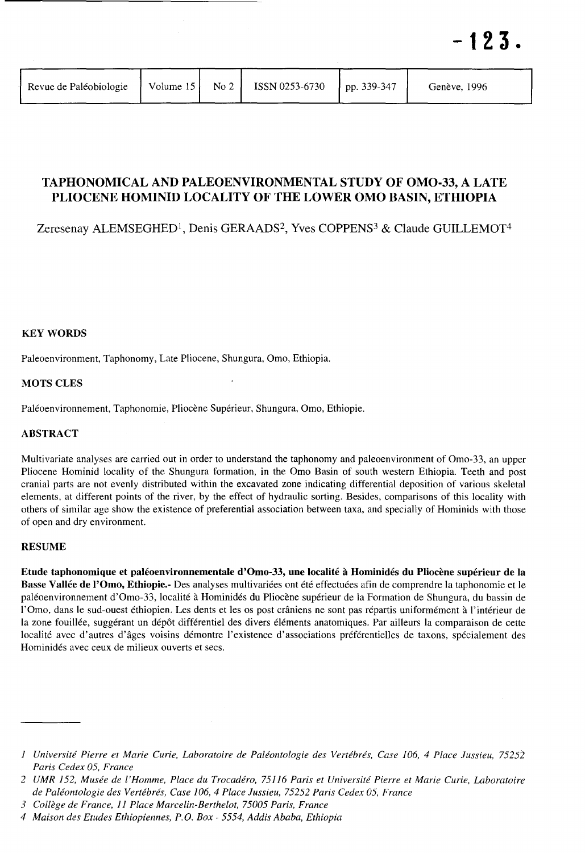| Revue de Paléobiologie | Volume $15$ | $\sim$ No 2 $\mid$ | ISSN 0253-6730 | $\ln 339 - 347$ | Genève, 1996 |
|------------------------|-------------|--------------------|----------------|-----------------|--------------|
|                        |             |                    |                |                 |              |

# TAPHONOMICAL AND PALEOENVIRONMENTAL STUDY OF OMO-33, A LATE PLIOCENE HOMINID LOCALITY OF THE LOWER OMO BASIN, ETHIOPIA

Zeresenay ALEMSEGHED<sup>1</sup>, Denis GERAADS<sup>2</sup>, Yves COPPENS<sup>3</sup> & Claude GUILLEMOT<sup>4</sup>

**KEY WORDS** 

Paleoenvironment, Taphonomy, Late Pliocene, Shungura, Omo, Ethiopia.

# MOTS CLES

Paléoenvironnement, Taphonomie, Pliocène Supérieur, Shungura, Omo, Ethiopie.

# ABSTRACT

Multivariate analyses are carried out in order to understand the taphonomy and paleoenvironment of Omo-33, an upper Pliocene Hominid locality of the Shungura formation, in the Omo Basin of south western Ethiopia. Teeth and post cranial parts are not evenly distributed within the excavated zone indicating differential deposition of various skeletal elements, at different points of the river, by the effect of hydraulic sorting. Besides, comparisons of this locality with others of similar age show the existence of preferential association between taxa, and specially of Hominids with those of open and dry environment.

## RESUME

Etude taphonomique et paléoenvironnementale d'Omo-33, une localité à Hominidés du Pliocène supérieur de la Basse Vallée de l'Omo, Ethiopie.- Des analyses multivariées ont été effectuées afin de comprendre la taphonomie et le paléoenvironnement d'Omo-33, localité à Hominidés du Pliocène supérieur de la Formation de Shungura, du bassin de l'Omo, dans le sud-ouest éthiopien. Les dents et les os post crâniens ne sont pas répartis uniformément à l'intérieur de la zone fouillée, suggérant un dépôt différentiel des divers éléments anatomiques. Par ailleurs la comparaison de cette localité avec d'autres d'âges voisins démontre l'existence d'associations préférentielles de taxons, spécialement des Hominidés avec ceux de milieux ouverts et secs.

*<sup>1</sup> Universite Pierre et Marie Curie, Laboratoire de Paleontologie des Vertebres, Case 106,* 4 *Place Jussieu, 75252 Paris Cedex 05, France* 

*<sup>2</sup> UMR* 152, *Musee de I'Homme, Place du Trocadero,* 75116 *Paris et Universite Pierre et Marie Curie, Laboratoire de Paleontologie des Ve rteb res, Case 106,* 4 *Place Jussieu,* 75252 *Paris Cedex 05, France* 

*<sup>3</sup> College de France,* 11 *Place Marcelin-Berthelot, 75005 Paris, France* 

*<sup>4</sup> Maison des Etudes Ethiopiennes, P.* O. *Box* - 5554, *Addis Ababa, Ethiopia*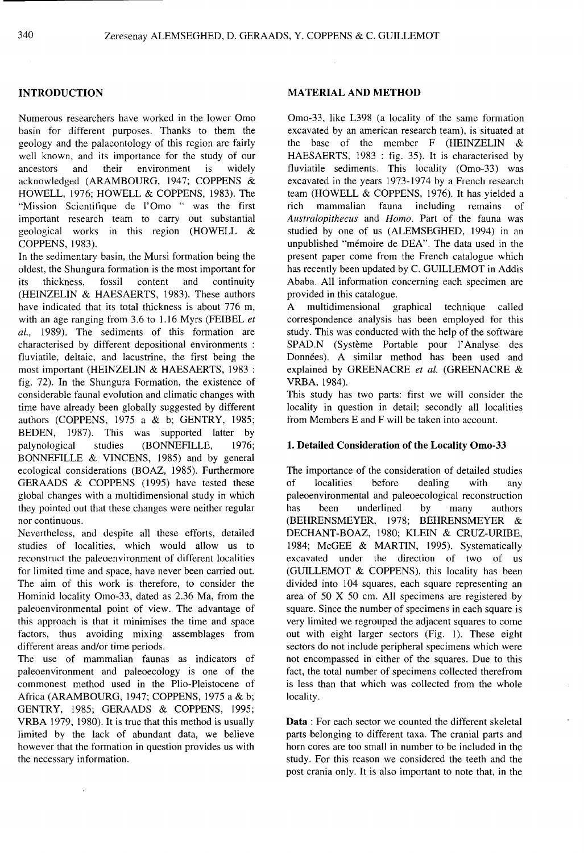Numerous researchers have worked in the lower Omo basin for different purposes. Thanks to them the geology and the palaeontology of this region are fairly well known, and its importance for the study of our ancestors and their environment is widely acknowledged (ARAMBOURG, 1947; COPPENS & HOWELL, 1976; HOWELL & COPPENS, 1983). The "Mission Scientifique de l'Omo " was the first important research team to carry out substantial geological works in this region (HOWELL & COPPENS, 1983).

In the sedimentary basin, the Mursi formation being the oldest, the Shungura formation is the most important for its thickness, fossil content and continuity (HEINZELIN & HAESAERTS, 1983). These authors have indicated that its total thickness is about 776 m, with an age ranging from 3.6 to 1.16 Myrs (FEIBEL *et al.,* 1989). The sediments of this formation are characterised by different depositional environments : fluviatile, deltaic, and lacustrine, the first being the most important (HEINZELIN & HAESAERTS, 1983 : fig. 72). In the Shungura Formation, the existence of considerable faunal evolution and climatic changes with time have already been globally suggested by different authors (COPPENS, 1975 a & b; GENTRY, 1985; BEDEN, 1987). This was supported latter by palynological studies (BONNEFILLE, 1976; BONNEFILLE & VINCENS, 1985) and by general ecological considerations (BOAZ, 1985). Furthermore GERAADS & COPPENS (1995) have tested these global changes with a multidimensional study in which they pointed out that these changes were neither regular nor continuous.

Nevertheless, and despite all these efforts, detailed studies of localities, which would allow us to reconstruct the paleoenvironment of different localities for limited time and space, have never been carried out. The aim of this work is therefore, to consider the Hominid locality Omo-33, dated as 2.36 Ma, from the paleoenvironmental point of view. The advantage of this approach is that it minimises the time and space factors, thus avoiding mixing assemblages from different areas and/or time periods.

The use of mammalian faunas as indicators of paleoenvironment and paleoecology is one of the commonest method used in the Plio-Pleistocene of Africa (ARAMBOURG, 1947; COPPENS, 1975 a & b; GENTRY, 1985; GERAADS & COPPENS, 1995; VRBA 1979, 1980). It is true that this method is usually limited by the lack of abundant data, we believe however that the formation in question provides us with the necessary information.

#### **INTRODUCTION MATERIAL AND METHOD**

Omo-33, like L398 (a locality of the same formation excavated by an american research team), is situated at the base of the member F (HEINZELIN & HAESAERTS, 1983 : fig. 35). It is characterised by fluviatile sediments. This locality (Omo-33) was excavated in the years 1973-1974 by a French research team (HOWELL & COPPENS, 1976). It has yielded a rich mammalian fauna including remains of *Australopithecus* and *Homo.* Part of the fauna was studied by one of us (ALEMSEGHED, 1994) in an unpublished "mémoire de DEA". The data used in the present paper come from the French catalogue which has recently been updated by C. GUILLEMOT in Addis Ababa. All information concerning each specimen are provided in this catalogue.

A multidimensional graphical technique called correspondence analysis has been employed for this study. This was conducted with the help of the software SPAD.N (Système Portable pour l'Analyse des Données). A similar method has been used and explained by GREENACRE *et at.* (GREENACRE & VRBA,1984).

This study has two parts: first we will consider the locality in question in detail; secondly all localities from Members E and F will be taken into account.

#### **1. Detailed Consideration of the Locality Omo-33**

The importance of the consideration of detailed studies of localities before dealing with any paleoenvironmental and paleoecological reconstruction has been underlined by many authors (BEHRENSMEYER, 1978; BEHRENSMEYER & DECHANT-BOAZ, 1980; KLEIN & CRUZ-URIBE, 1984; McGEE & MARTIN, 1995). Systematically excavated under the direction of two of us (GUILLEMOT & COPPENS), this locality has been divided into 104 squares, each square representing an area of 50 X 50 cm. All specimens are registered by square. Since the number of specimens in each square is very limited we regrouped the adjacent squares to come out with eight larger sectors (Fig. 1). These eight sectors do not include peripheral specimens which were not encompassed in either of the squares. Due to this fact, the total number of specimens collected therefrom is less than that which was collected from the whole locality.

**Data:** For each sector we counted the different skeletal parts belonging to different taxa. The cranial parts and horn cores are too small in number to be included in the study. For this reason we considered the teeth and the post crania only. It is also important to note that, in the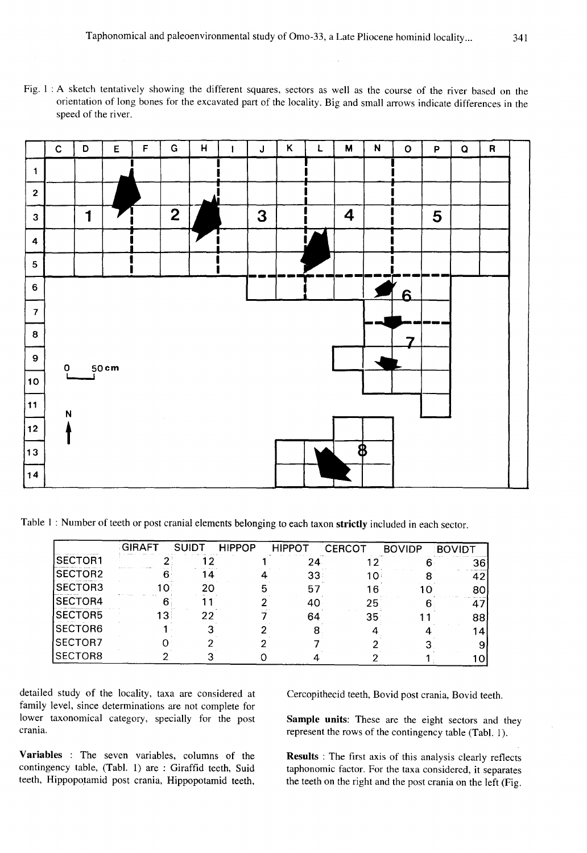Fig. 1 : A sketch tentatively showing the different squares, sectors as well as the course of the river based on the orientation of long bones for the excavated part of the locality. Big and small arrows indicate differences in the speed of the river.



Table 1 : Number of teeth or post cranial elements belonging to each taxon strictly included in each sector.

|                | GIRAFT | SUIDT | <b>HIPPOP</b> | <b>HIPPOT</b> | <b>CERCOT</b> | <b>BOVIDP</b> | <b>BOVIDT</b> |
|----------------|--------|-------|---------------|---------------|---------------|---------------|---------------|
| SECTOR1        |        |       |               |               |               |               | 36            |
| SECTOR2        |        |       |               | 33            | 10            |               | 42            |
| SECTOR3        |        | 20    |               | 57            | าห            | 10            | 80            |
| <b>SECTOR4</b> |        |       |               | 40            | 25            |               | 4             |
| <b>SECTOR5</b> | 13.    | 22    |               | 64            | 35            |               | 88            |
| <b>SECTOR6</b> |        |       |               |               |               |               |               |
| SECTOR7        |        |       |               |               |               |               |               |
| SECTOR8        |        |       |               |               |               |               |               |

detailed study of the locality, taxa are considered at family level, since determinations are not complete for lower taxonomical category, specially for the post crania.

Variables : The seven variables, columns of the contingency table, (Tabl. 1) are: Giraffid teeth, Suid teeth, Hippopotamid post crania, Hippopotamid teeth,

Cercopithecid teeth, Bovid post crania, Bovid teeth.

Sample units: These are the eight sectors and they represent the rows of the contingency table (Tabl. 1).

Results : The first axis of this analysis clearly reflects taphonomic factor. For the taxa considered, it separates the teeth on the right and the post crania on the left (Fig.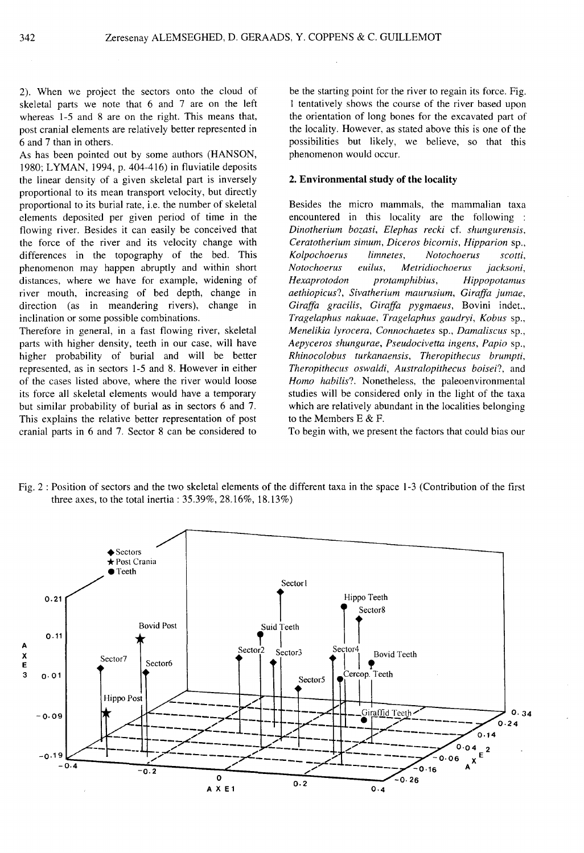2). When we project the sectors onto the cloud of skeletal parts we note that 6 and 7 are on the left whereas 1-5 and 8 are on the right. This means that, post cranial elements are relatively better represented in 6 and 7 than in others.

As has been pointed out by some authors (HANSON, 1980; LYMAN, 1994, p. 404-416) in fluviatile deposits the linear density of a given skeletal part is inversely proportional to its mean transport velocity, but directly proportional to its burial rate, i.e. the number of skeletal elements deposited per given period of time in the flowing river. Besides it can easily be conceived that the force of the river and its velocity change with differences in the topography of the bed. This phenomenon may happen abruptly and within short distances, where we have for example, widening of river mouth, increasing of bed depth, change in direction (as in meandering rivers), change in inclination or some possible combinations.

Therefore in general, in a fast flowing river, skeletal parts with higher density, teeth in our case, will have higher probability of burial and will be better represented, as in sectors 1-5 and 8. However in either of the cases listed above, where the river would loose its force all skeletal elements would have a temporary but similar probability of burial as in sectors 6 and 7. This explains the relative better representation of post cranial parts in 6 and 7. Sector 8 can be considered to

be the starting point for the river to regain its force. Fig. 1 tentatively shows the course of the river based upon the orientation of long bones for the excavated part of the locality. However, as stated above this is one of the possibilities but likely, we believe, so that this phenomenon would occur.

### 2. Environmental study of the locality

Besides the micro mammals, the mammalian taxa encountered in this locality are the following : *Dinotherium bozasi, Elephas recki* cf. *shungurensis, Ceratotherium simum, Diceros bicornis, Hipparion* sp., *Kolpochoerus limnetes, Notochoerus scotti, Notochoerus euilus, Metridiochoerus jacksoni, Hexaprotodon protamphibius, Hippopotamus aethiopicus?, Sivatherium maurusium, Giraffa jumae, Giraffa gracilis, Giraffa pygmaeus,* Bovini indet., *Tragelaphus nakuae, Tragelaphus gaudryi, Kobus* sp., *Menelikia lyrocera, Connochaetes* sp., *Damaliscus* sp., *Aepyceros shungurae, Pseudocivetta ingens, Papio* sp., *Rhinocolobus turkanaensis, Theropithecus brumpti, Theropithecus oswaldi, Australopithecus boisei?,* and *Homo habilis?*. Nonetheless, the paleoenvironmental studies will be considered only in the light of the taxa which are relatively abundant in the localities belonging to the Members E & F.

To begin with, we present the factors that could bias our



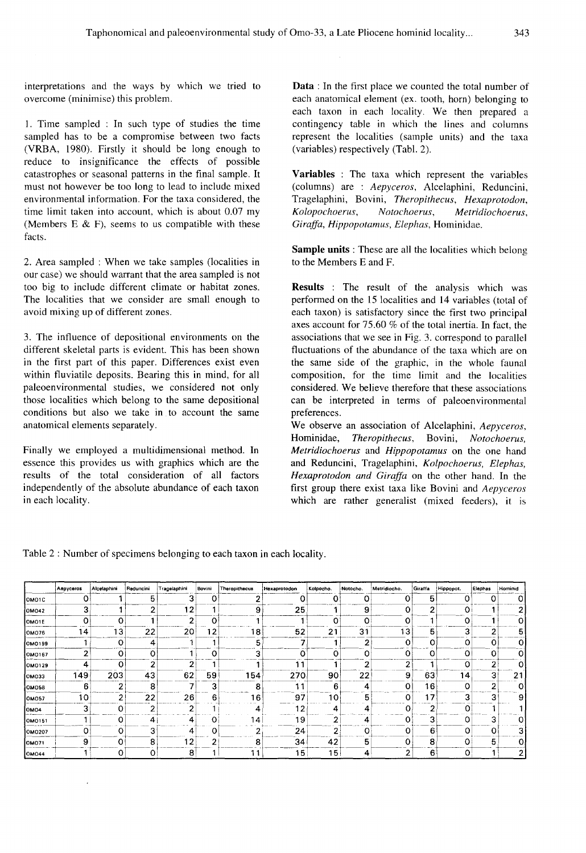interpretations and the ways by which we tried to overcome (minimise) this problem.

I. Time sampled : In such type of studies the time sampled has to be a compromise between two facts (VRBA, 1980). Firstly it should be long enough to reduce to insignificance the effects of possible catastrophes or seasonal patterns in the final sample. It must not however be too long to lead to include mixed environmental information. For the taxa considered, the time limit taken into account, which is about 0.07 my (Members E  $\&$  F), seems to us compatible with these facts.

2. Area sampled : When we take samples (localities in our case) we should warrant that the area sampled is not too big to include different climate or habitat zones. The localities that we consider are small enough to avoid mixing up of different zones.

3. The influence of depositional environments on the different skeletal parts is evident. This has been shown in the first part of this paper. Differences exist even within fluviatile deposits. Bearing this in mind, for all paleoenvironmental studies, we considered not only those localities which belong to the same depositional conditions but also we take in to account the same anatomical elements separately.

Finally we employed a multidimensional method. In essence this provides us with graphics which are the results of the total consideration of all factors independently of the absolute abundance of each taxon in each locality.

**Data:** In the first place we counted the total number of each anatomical element (ex. tooth, horn) belonging to each taxon in each locality. We then prepared a contingency table in which the lines and columns represent the localities (sample units) and the taxa (variables) respectively (Tabl. 2).

**Variables** : The taxa which represent the variables (columns) are : *Aepyceros,* A1celaphini, Reduncini, Tragelaphini, Bovini, *Theropithecus, Hexaprotodon, Kolopochoerus, Notochoerus, Metridiochoerus, Giraffa, Hippopotamus, Elephas,* Hominidae.

**Sample units:** These are all the localities which belong to the Members E and F.

**Results** : The result of the analysis which was performed on the 15 localities and 14 variables (total of each taxon) is satisfactory since the first two principal axes account for 75.60 % of the total inertia. In fact, the associations that we see in Fig. 3. correspond to parallel fluctuations of the abundance of the taxa which are on the same side of the graphic, in the whole faunal composition, for the time limit and the localities considered. We believe therefore that these associations can be interpreted in terms of paleoenvironmental preferences.

We observe an association of A1celaphini, *Aepyceros,*  Hominidae, *Theropithecus,* Bovini, *Notochoerus, Metridiochoerus* and *Hippopotamus* on the one hand and Reduncini, Tragelaphini, *Kolpochoerus, Elephas, Hexaprotodon and Giraffa* on the other hand. In the first group there exist taxa like Bovini and *Aepyceros*  which are rather generalist (mixed feeders), it is

Table 2: Number of specimens belonging to each taxon in each locality.

|                  | Aepyceros | Alcelaphini | Reduncini | Tragelaphini | Bovini  | Theropithecus | Hexaprotodon | Kolpocho.       | Notocho. | Metridiocho. | Giraffa | Hippopot.   | Elephas  | Hominid |
|------------------|-----------|-------------|-----------|--------------|---------|---------------|--------------|-----------------|----------|--------------|---------|-------------|----------|---------|
| OMO1C            | 0         |             | 5         | 3            | 0       | 2             | 0            | 0               | 0        | 0            | 5       |             | $\Omega$ | o       |
| <b>OM042</b>     | 3         |             | ົ         | 12           |         | 9             | 25           |                 | 9        |              | 2       | $\mathbf 0$ |          |         |
| OMO1E            | 0         | 0           |           | 2            | Ω       |               |              | 0               | 0        |              |         | 0           |          |         |
| OM076            | ۱4        | 13          | 22        | 20           | 12.     | 18            | 52           | 21              | 31       | 13           | 5       | 3           | 2        | 5       |
| OM0199           |           | o           | 4         |              |         | 5             |              |                 | 2        | 0            | 0       | 0           | 0        | 0       |
| OM0167           | 2         | 0           | O         |              | $\circ$ | 3             | ٥            | 0               | ο        |              | 0       | 0           | 0        | Ω       |
| OM0129           | 4         | $\Omega$    | 2         | ◠            |         |               | -1           |                 | ◠        |              |         | 0           | 2        |         |
| <b>OM033</b>     | 149       | 203         | 43        | 62           | 59      | 154           | 270          | 90              | 22       | 9            | 63      | 14          | 3        | 21      |
| <b>OMO58</b>     | 6         | 2           | 8         |              | 3       | 8             | 11           | 6               | 4        | Ω            | 16      | O           | 2        | ი       |
| OM057            | 10        | 2           | 22        | 26           | 6       | 16            | 97           | 10              | 5        |              | 17      | з           | 3        | 9       |
| OMO <sub>4</sub> | 3         | 0           | n         | ົ            |         | 4             | -2           | 4               | 4        |              | ◠       | 0           |          |         |
| OMO151           |           | 0           | 4         | 4            | 0       | 14.           | 19           | 2               | 4        |              | 3       | ٥           | 3        |         |
| <b>OMO207</b>    | о         | 0           |           | 4            | 0       |               | 24           | 2               | 0        |              | 6       | 0           | 0        | 3       |
| OM071            | 9         | O           | 8         | 2            | 2       | 8             | 34           | 42              | 5.       |              | 8       | 0           | 5        | 0       |
| <b>OM044</b>     |           | о           | o         | 8            |         | 11            | 15           | 15 <sub>1</sub> | 4        |              | 6       | 0           |          | 2       |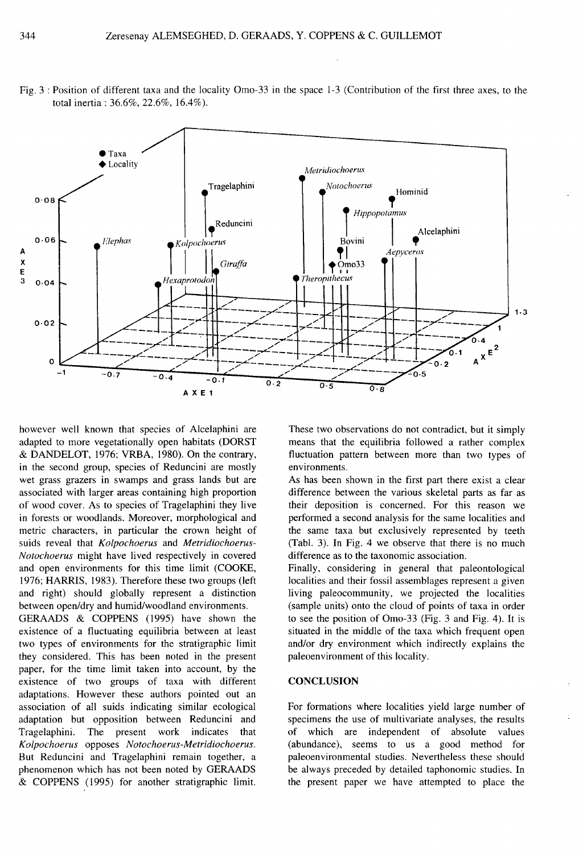

Fig. 3: Position of different taxa and the locality Omo-33 in the space 1-3 (Contribution of the first three axes, to the total inertia: 36.6%, 22.6%, 16.4%).

however well known that species of Alcelaphini are adapted to more vegetationally open habitats (DORST & DANDELOT, 1976; VRBA, 1980). On the contrary, in the second group, species of Reduncini are mostly wet grass grazers in swamps and grass lands but are associated with larger areas containing high proportion of wood cover. As to species of Tragelaphini they live in forests or woodlands. Moreover, morphological and metric characters, in particular the crown height of suids reveal that Kolpochoerus and Metridiochoerus-Notochoerus might have lived respectively in covered and open environments for this time limit (COOKE, 1976; HARRIS, 1983). Therefore these two groups (left and right) should globally represent a distinction between open/dry and humid/woodland environments.

GERAADS & COPPENS (1995) have shown the existence of a fluctuating equilibria between at least two types of environments for the stratigraphic limit they considered. This has been noted in the present paper, for the time limit taken into account, by the existence of two groups of taxa with different adaptations. However these authors pointed out an association of all suids indicating similar ecological adaptation but opposition between Reduncini and Tragelaphini. The present work indicates that Kolpochoerus opposes Notochoerus-Metridiochoerus. But Reduncini and Tragelaphini remain together, a phenomenon which has not been noted by GERAADS & COPPENS (1995) for another stratigraphic limit.

These two observations do not contradict, but it simply means that the equilibria followed a rather complex fluctuation pattern between more than two types of environments.

As has been shown in the first part there exist a clear difference between the various skeletal parts as far as their deposition is concerned. For this reason we performed a second analysis for the same localities and the same taxa but exclusively represented by teeth (Tabl. 3). In Fig. 4 we observe that there is no much difference as to the taxonomic association.

Finally, considering in general that paleontological localities and their fossil assemblages represent a given living paleocommunity, we projected the localities (sample units) onto the cloud of points of taxa in order to see the position of Omo-33 (Fig. 3 and Fig. 4). It is situated in the middle of the taxa which frequent open and/or dry environment which indirectly explains the paleoenvironment of this locality.

#### **CONCLUSION**

For formations where localities yield large number of specimens the use of multivariate analyses, the results of which are independent of absolute values (abundance), seems to us a good method for paleoenvironmental studies. Nevertheless these should be always preceded by detailed taphonomic studies. In the present paper we have attempted to place the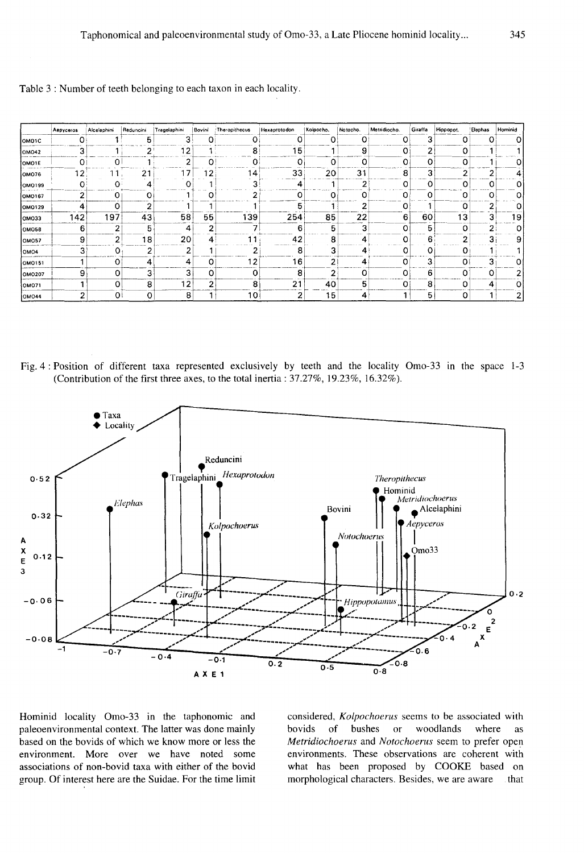|                  | Aepyceros | Alcelaphini    | Reduncini | Tragelaphini | Bovini   | Theropithecus           | Hexaprotodon | Kolpocho. | Notocho. | Metridiocho. | Giraffa | Hippopot. | Elephas |  |
|------------------|-----------|----------------|-----------|--------------|----------|-------------------------|--------------|-----------|----------|--------------|---------|-----------|---------|--|
| OMO1C            | 0         |                | 5         |              | Ω        | O                       | 0            | Ω         | 0        | O            | 3       | Ω         |         |  |
| OM042            | 3         |                | $\sim$    | 12           |          | 8                       | 15           |           | 9        | 0            | 2       | 0         |         |  |
| OMO1E            | 0         | 0              |           | 2            | O        | 0                       | 0            | 0         | 0        | 0            | 0       | ο         |         |  |
| OM076            | 2         |                | 21        | -7           | 12       | ١4                      | 33           | 20        | 31       | 8            | 3       |           |         |  |
| OMO199           | O         | Ω              | 4         |              |          | ∽                       |              |           | n        | 0            | 0       | ი         |         |  |
| OMO167           | 2         | 0              | 0         |              |          | ◠                       | 0            |           |          | 0            | 0       |           |         |  |
| OM0129           | 4         | 0              | ີ         |              |          |                         | 5            |           | ۷        | ο            |         | ი         |         |  |
| OM033            | 142       | 197            | 43        | 58           | 55       | 139                     | 254          | 85        | 22       | 6            | 60      | ıз        |         |  |
| <b>OMO58</b>     | 6         | $\overline{2}$ | 5         | 4            | 2        | →                       | 6            | 5         | 3        | 0            | 5       | ი         | 2       |  |
| <b>OMO57</b>     | 9         | 2              | 18        | 20           | 4        | -1                      | 42           | 8         | 4        | 0            | 6       | ◠         | 3       |  |
| OMO <sub>4</sub> | 3         | 0              | ີ         | 2            |          |                         | 8            | 3         | 4        | 0            | 0       | ο         |         |  |
| OM0151           |           | 0              | 4         | 4            | $\Omega$ | $\overline{\mathbf{2}}$ | 16           | 2         | 4        | 0            | 3       | O         | 3       |  |
| <b>OMO207</b>    | 9         | 0              | 3         | 3            | 0        | 0                       | 8            | 2         | O        | Ω            | 6       |           |         |  |
| OM071            |           | 0              | 8         | 12           | 2        | 8                       | 21           | 40        | 5        | o            | 8       |           | 4       |  |
| <b>OMO44</b>     | 2         | 0I             | $\Omega$  | 8            |          | 10                      | 2            | 15        | 4        |              | 5       | 0         |         |  |

Table 3 : Number of teeth belonging to each taxon in each locality.

Fig. 4: Position of different taxa represented exclusively by teeth and the locality Omo-33 in the space 1-3 (Contribution of the first three axes, to the total inertia:  $37.27\%$ ,  $19.23\%$ ,  $16.32\%$ ).



Hominid locality Omo-33 in the taphonomic and paleoenvironmental context. The latter was done mainly based on the bovids of which we know more or less the environment. More over we have noted some associations of non-bovid taxa with either of the bovid group. Of interest here are the Suidae. For the time limit considered, Kolpochoerus seems to be associated with bushes woodlands bovids of  $\overline{\text{or}}$ where as Metridiochoerus and Notochoerus seem to prefer open environments. These observations are coherent with what has been proposed by COOKE based on morphological characters. Besides, we are aware that

hinim  $\Omega$ 

> $\mathbf{o}$ 4  $\mathbf{o}$  $\overline{O}$  $\overline{O}$  $19$  $\circ$ 9  $\mathbf{1}$  $\mathbf 0$  $\overline{2}$  $\mathbf{o}$  $\overline{\mathbf{c}}$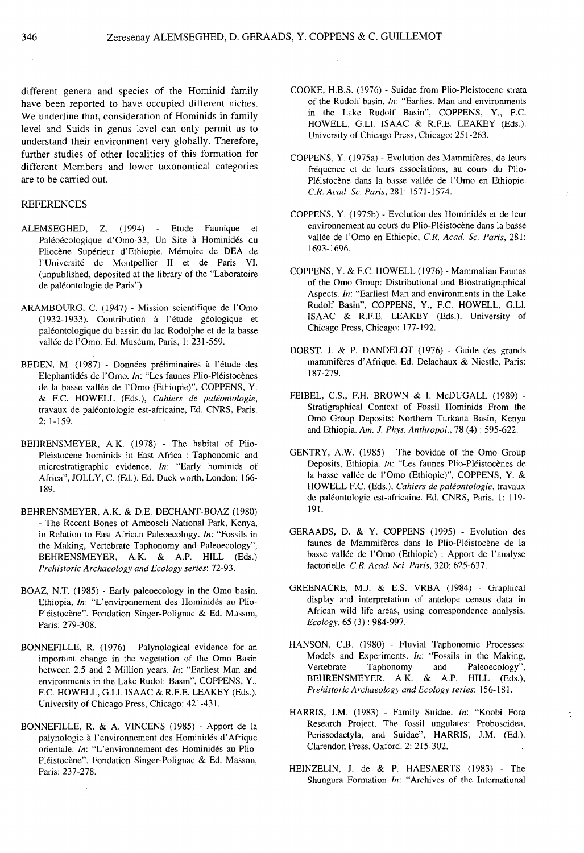different genera and species of the Hominid family have been reported to have occupied different niches. We underline that, consideration of Hominids in family level and Suids in genus level can only permit us to understand their environment very globally. Therefore, further studies of other localities of this formation for different Members and lower taxonomical categories are to be carried out.

#### **REFERENCES**

- ALEMSEGHED, Z. (1994) Etude Faunique et Paléoécologique d'Omo-33, Un Site à Hominidés du Pliocène Supérieur d'Ethiopie. Mémoire de DEA de l'Universite de Montpellier 11 et de Paris VI. (unpublished, deposited at the library of the "Laboratoire de paléontologie de Paris").
- ARAMBOURG, C. (1947) Mission scientifique de l'Omo (1932-1933). Contribution à l'étude géologique et paleontologique du bassin du lac Rodolphe et de la basse vallée de l'Omo. Ed. Muséum, Paris, 1: 231-559.
- BEDEN, M. (1987) Données préliminaires à l'étude des Elephantides de l'Omo. *In:* "Les faunes Plio-Pleistocenes de la basse vallée de l'Omo (Ethiopie)", COPPENS, Y. & F.e. HOWELL (Eds.), *Cahiers de paleontologie,*  travaux de paleontologie est-africaine, Ed. CNRS, Paris. 2: 1-159.
- BEHRENSMEYER, A.K. (1978) The habitat of Plio-Pleistocene hominids in East Africa : Taphonomic and microstratigraphic evidence. *In:* "Early hominids of Africa", JOLLY, C. (Ed.). Ed. Duck worth, London: 166-189.
- BEHRENSMEYER, A.K. & D.E. DECHANT-BOAZ (1980) - The Recent Bones of Amboseli National Park, Kenya, in Relation to East African Paleoecology. *In:* "Fossils in the Making, Vertebrate Taphonomy and Paleoecology", BEHRENSMEYER, A.K. & A.P. HILL (Eds.) *Prehistoric Archaeology and Ecology series: 72-93.*
- BOAZ, N.T. (1985) Early paleoecology in the Omo basin, Ethiopia, *In*: "L'environnement des Hominidés au Plio-Pléistocène". Fondation Singer-Polignac & Ed. Masson, Paris: 279-308.
- BONNEFILLE, R. (1976) Palynological evidence for an important change in the vegetation of the Omo Basin between 2.5 and 2 Million years. *In:* "Earliest Man and environments in the Lake Rudolf Basin", COPPENS, Y., F.C. HOWELL, G.LI. ISAAC & R.F.E. LEAKEY (Eds.). University of Chicago Press, Chicago: 421-431.
- BONNEFILLE, R & A. VINCENS (1985) Apport de la palynologie à l'environnement des Hominidés d'Afrique orientale. *In:* "L'environnement des Hominidés au Plio-Pléistocène". Fondation Singer-Polignac & Ed. Masson, Paris: 237-278.
- COOKE, H.B.S. (1976) Suidae from Plio-Pleistocene strata of the Rudolf basin. *In:* "Earliest Man and environments in the Lake Rudolf Basin", COPPENS, Y., F.C. HOWELL, G.LI. ISAAC & R.F.E. LEAKEY (Eds.). University of Chicago Press, Chicago: 251-263.
- COPPENS, Y. (l975a) Evolution des Mammireres, de leurs frequence et de leurs associations, au cours du Plio-Pléistocène dans la basse vallée de l'Omo en Ethiopie. *CR. Acad. Sc. Paris,* 281: 1571-1574.
- COPPENS, Y. (1975b) Evolution des Hominides et de leur environnement au cours du Plio-Pléistocène dans la basse vallée de l'Omo en Ethiopie, C.R. Acad. Sc. Paris, 281: 1693-1696.
- COPPENS, Y. & F.C. HOWELL (1976) Mammalian Faunas of the Omo Group: Distributional and Biostratigraphical Aspects. *In:* "Earliest Man and environments in the Lake Rudolf Basin", COPPENS, Y., F.C. HOWELL, G.Ll. ISAAC & R.F.E. LEAKEY (Eds.), University of Chicago Press, Chicago: 177-192.
- DORST, J. & P. DANDELOT (1976) Guide des grands mammiferes d' Afrique. Ed. Delachaux & Niestle, Paris: 187-279.
- FEIBEL, C.S., F.H. BROWN & I. McDUGALL (1989) -Stratigraphical Context of Fossil Hominids From the Omo Group Deposits: Northern Turkana Basin, Kenya and Ethiopia. *Am. 1. Phys. Anthropol.,* 78 (4) : 595-622.
- GENTRY, A.W. (1985) The bovidae of the Omo Group Deposits, Ethiopia. *In:* "Les faunes Plio-Pléistocènes de la basse vallée de l'Omo (Ethiopie)", COPPENS, Y. & HOWELL F.C. (Eds.), *Cahiers de paléontologie*, travaux de paléontologie est-africaine. Ed. CNRS, Paris. 1: 119-191.
- GERAADS, D. & Y. COPPENS (1995) Evolution des faunes de Mammifères dans le Plio-Pléistocène de la basse vallée de l'Omo (Ethiopie) : Apport de l'analyse factorielle. *CR. Acad. Sci. Paris,* 320: 625-637.
- GREENACRE, M.J. & E.S. VRBA (1984) Graphical display and interpretation of antelope census data in African wild life areas, using correspondence analysis. *Ecology,* 65 (3) : 984-997.
- HANSON, C.B. (1980) Fluvial Taphonomic Processes: Models and Experiments. *In:* "Fossils in the Making, Vertebrate Taphonomy and Paleoecology", BEHRENSMEYER, A.K. & A.P. HILL (Eds.), *Prehistoric Archaeology and Ecology series:* 156-181.
- HARRIS, J.M. (1983) Family Suidae. *In:* "Koobi Fora Research Project. The fossil ungulates: Proboscidea, Perissodactyla, and Suidae", HARRIS, J.M. (Ed.). Clarendon Press, Oxford. 2: 215-302.

 $\overline{\phantom{a}}$ 

HEINZELIN, J. de & P. HAESAERTS (1983) - The Shungura Formation *In:* "Archives of the International